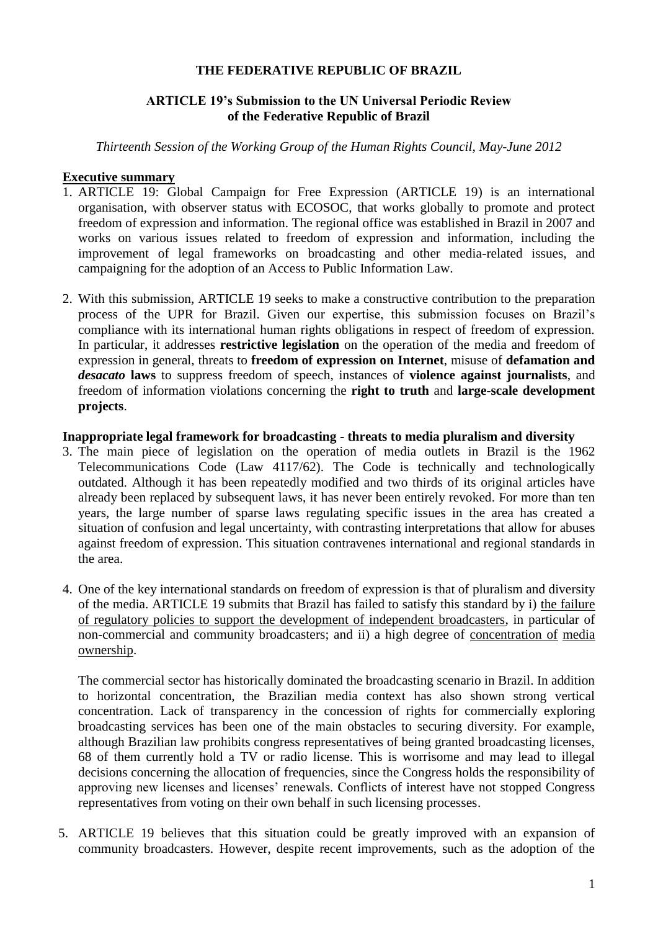## **THE FEDERATIVE REPUBLIC OF BRAZIL**

# **ARTICLE 19's Submission to the UN Universal Periodic Review of the Federative Republic of Brazil**

*Thirteenth Session of the Working Group of the Human Rights Council, May-June 2012*

### **Executive summary**

- 1. ARTICLE 19: Global Campaign for Free Expression (ARTICLE 19) is an international organisation, with observer status with ECOSOC, that works globally to promote and protect freedom of expression and information. The regional office was established in Brazil in 2007 and works on various issues related to freedom of expression and information, including the improvement of legal frameworks on broadcasting and other media-related issues, and campaigning for the adoption of an Access to Public Information Law.
- 2. With this submission, ARTICLE 19 seeks to make a constructive contribution to the preparation process of the UPR for Brazil. Given our expertise, this submission focuses on Brazil's compliance with its international human rights obligations in respect of freedom of expression. In particular, it addresses **restrictive legislation** on the operation of the media and freedom of expression in general, threats to **freedom of expression on Internet**, misuse of **defamation and**  *desacato* **laws** to suppress freedom of speech, instances of **violence against journalists**, and freedom of information violations concerning the **right to truth** and **large-scale development projects**.

#### **Inappropriate legal framework for broadcasting - threats to media pluralism and diversity**

- 3. The main piece of legislation on the operation of media outlets in Brazil is the 1962 Telecommunications Code (Law 4117/62). The Code is technically and technologically outdated. Although it has been repeatedly modified and two thirds of its original articles have already been replaced by subsequent laws, it has never been entirely revoked. For more than ten years, the large number of sparse laws regulating specific issues in the area has created a situation of confusion and legal uncertainty, with contrasting interpretations that allow for abuses against freedom of expression. This situation contravenes international and regional standards in the area.
- 4. One of the key international standards on freedom of expression is that of pluralism and diversity of the media. ARTICLE 19 submits that Brazil has failed to satisfy this standard by i) the failure of regulatory policies to support the development of independent broadcasters, in particular of non-commercial and community broadcasters; and ii) a high degree of concentration of media ownership.

The commercial sector has historically dominated the broadcasting scenario in Brazil. In addition to horizontal concentration, the Brazilian media context has also shown strong vertical concentration. Lack of transparency in the concession of rights for commercially exploring broadcasting services has been one of the main obstacles to securing diversity. For example, although Brazilian law prohibits congress representatives of being granted broadcasting licenses, 68 of them currently hold a TV or radio license. This is worrisome and may lead to illegal decisions concerning the allocation of frequencies, since the Congress holds the responsibility of approving new licenses and licenses' renewals. Conflicts of interest have not stopped Congress representatives from voting on their own behalf in such licensing processes.

5. ARTICLE 19 believes that this situation could be greatly improved with an expansion of community broadcasters. However, despite recent improvements, such as the adoption of the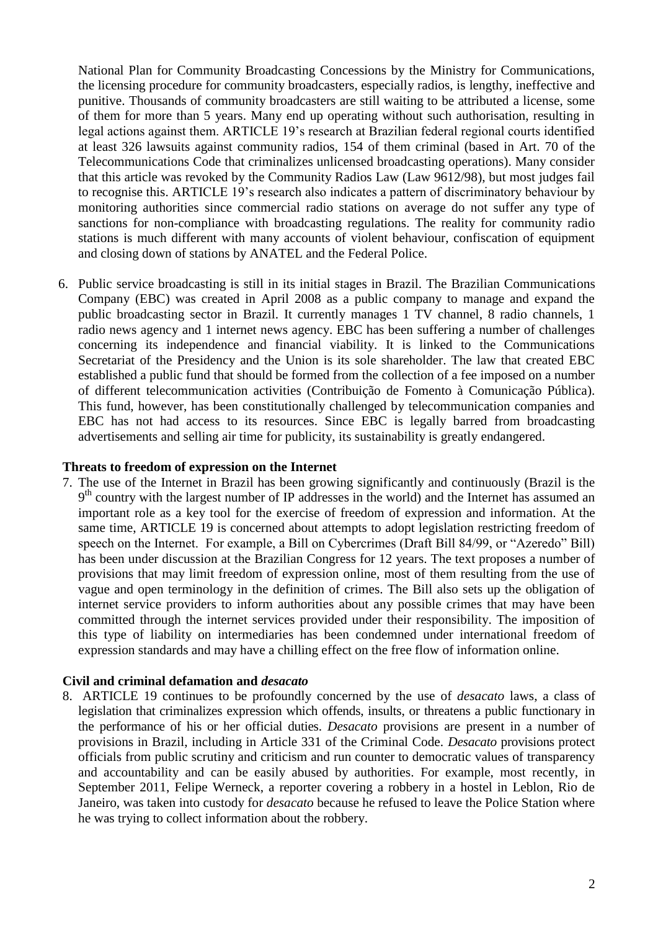National Plan for Community Broadcasting Concessions by the Ministry for Communications, the licensing procedure for community broadcasters, especially radios, is lengthy, ineffective and punitive. Thousands of community broadcasters are still waiting to be attributed a license, some of them for more than 5 years. Many end up operating without such authorisation, resulting in legal actions against them. ARTICLE 19's research at Brazilian federal regional courts identified at least 326 lawsuits against community radios, 154 of them criminal (based in Art. 70 of the Telecommunications Code that criminalizes unlicensed broadcasting operations). Many consider that this article was revoked by the Community Radios Law (Law 9612/98), but most judges fail to recognise this. ARTICLE 19's research also indicates a pattern of discriminatory behaviour by monitoring authorities since commercial radio stations on average do not suffer any type of sanctions for non-compliance with broadcasting regulations. The reality for community radio stations is much different with many accounts of violent behaviour, confiscation of equipment and closing down of stations by ANATEL and the Federal Police.

6. Public service broadcasting is still in its initial stages in Brazil. The Brazilian Communications Company (EBC) was created in April 2008 as a public company to manage and expand the public broadcasting sector in Brazil. It currently manages 1 TV channel, 8 radio channels, 1 radio news agency and 1 internet news agency. EBC has been suffering a number of challenges concerning its independence and financial viability. It is linked to the Communications Secretariat of the Presidency and the Union is its sole shareholder. The law that created EBC established a public fund that should be formed from the collection of a fee imposed on a number of different telecommunication activities (Contribuição de Fomento à Comunicação Pública). This fund, however, has been constitutionally challenged by telecommunication companies and EBC has not had access to its resources. Since EBC is legally barred from broadcasting advertisements and selling air time for publicity, its sustainability is greatly endangered.

#### **Threats to freedom of expression on the Internet**

7. The use of the Internet in Brazil has been growing significantly and continuously (Brazil is the 9<sup>th</sup> country with the largest number of IP addresses in the world) and the Internet has assumed an important role as a key tool for the exercise of freedom of expression and information. At the same time, ARTICLE 19 is concerned about attempts to adopt legislation restricting freedom of speech on the Internet. For example, a Bill on Cybercrimes (Draft Bill 84/99, or "Azeredo" Bill) has been under discussion at the Brazilian Congress for 12 years. The text proposes a number of provisions that may limit freedom of expression online, most of them resulting from the use of vague and open terminology in the definition of crimes. The Bill also sets up the obligation of internet service providers to inform authorities about any possible crimes that may have been committed through the internet services provided under their responsibility. The imposition of this type of liability on intermediaries has been condemned under international freedom of expression standards and may have a chilling effect on the free flow of information online.

### **Civil and criminal defamation and** *desacato*

8. ARTICLE 19 continues to be profoundly concerned by the use of *desacato* laws, a class of legislation that criminalizes expression which offends, insults, or threatens a public functionary in the performance of his or her official duties. *Desacato* provisions are present in a number of provisions in Brazil, including in Article 331 of the Criminal Code. *Desacato* provisions protect officials from public scrutiny and criticism and run counter to democratic values of transparency and accountability and can be easily abused by authorities. For example, most recently, in September 2011, Felipe Werneck, a reporter covering a robbery in a hostel in Leblon, Rio de Janeiro, was taken into custody for *desacato* because he refused to leave the Police Station where he was trying to collect information about the robbery.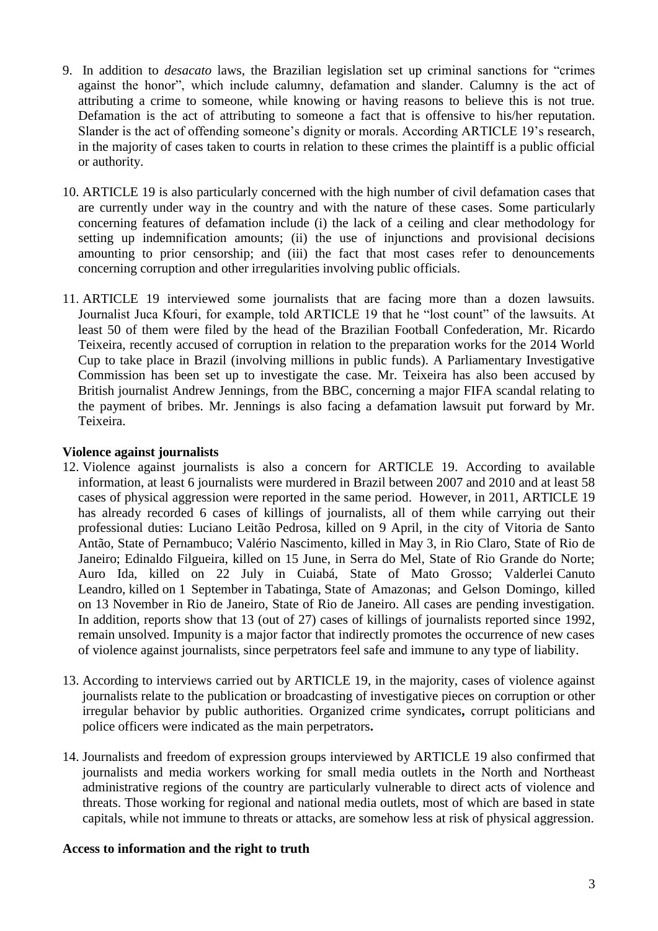- 9. In addition to *desacato* laws, the Brazilian legislation set up criminal sanctions for "crimes against the honor", which include calumny, defamation and slander. Calumny is the act of attributing a crime to someone, while knowing or having reasons to believe this is not true. Defamation is the act of attributing to someone a fact that is offensive to his/her reputation. Slander is the act of offending someone's dignity or morals. According ARTICLE 19's research, in the majority of cases taken to courts in relation to these crimes the plaintiff is a public official or authority.
- 10. ARTICLE 19 is also particularly concerned with the high number of civil defamation cases that are currently under way in the country and with the nature of these cases. Some particularly concerning features of defamation include (i) the lack of a ceiling and clear methodology for setting up indemnification amounts; (ii) the use of injunctions and provisional decisions amounting to prior censorship; and (iii) the fact that most cases refer to denouncements concerning corruption and other irregularities involving public officials.
- 11. ARTICLE 19 interviewed some journalists that are facing more than a dozen lawsuits. Journalist Juca Kfouri, for example, told ARTICLE 19 that he "lost count" of the lawsuits. At least 50 of them were filed by the head of the Brazilian Football Confederation, Mr. Ricardo Teixeira, recently accused of corruption in relation to the preparation works for the 2014 World Cup to take place in Brazil (involving millions in public funds). A Parliamentary Investigative Commission has been set up to investigate the case. Mr. Teixeira has also been accused by British journalist Andrew Jennings, from the BBC, concerning a major FIFA scandal relating to the payment of bribes. Mr. Jennings is also facing a defamation lawsuit put forward by Mr. Teixeira.

# **Violence against journalists**

- 12. Violence against journalists is also a concern for ARTICLE 19. According to available information, at least 6 journalists were murdered in Brazil between 2007 and 2010 and at least 58 cases of physical aggression were reported in the same period. However, in 2011, ARTICLE 19 has already recorded 6 cases of killings of journalists, all of them while carrying out their professional duties: Luciano Leitão Pedrosa, killed on 9 April, in the city of Vitoria de Santo Antão, State of Pernambuco; Valério Nascimento, killed in May 3, in Rio Claro, State of Rio de Janeiro; Edinaldo Filgueira, killed on 15 June, in Serra do Mel, State of Rio Grande do Norte; Auro Ida, killed on 22 July in Cuiabá, State of Mato Grosso; Valderlei Canuto Leandro, killed on 1 September in Tabatinga, State of Amazonas; and Gelson Domingo, killed on 13 November in Rio de Janeiro, State of Rio de Janeiro. All cases are pending investigation. In addition, reports show that 13 (out of 27) cases of killings of journalists reported since 1992, remain unsolved. Impunity is a major factor that indirectly promotes the occurrence of new cases of violence against journalists, since perpetrators feel safe and immune to any type of liability.
- 13. According to interviews carried out by ARTICLE 19, in the majority, cases of violence against journalists relate to the publication or broadcasting of investigative pieces on corruption or other irregular behavior by public authorities. Organized crime syndicates**,** corrupt politicians and police officers were indicated as the main perpetrators**.**
- 14. Journalists and freedom of expression groups interviewed by ARTICLE 19 also confirmed that journalists and media workers working for small media outlets in the North and Northeast administrative regions of the country are particularly vulnerable to direct acts of violence and threats. Those working for regional and national media outlets, most of which are based in state capitals, while not immune to threats or attacks, are somehow less at risk of physical aggression.

# **Access to information and the right to truth**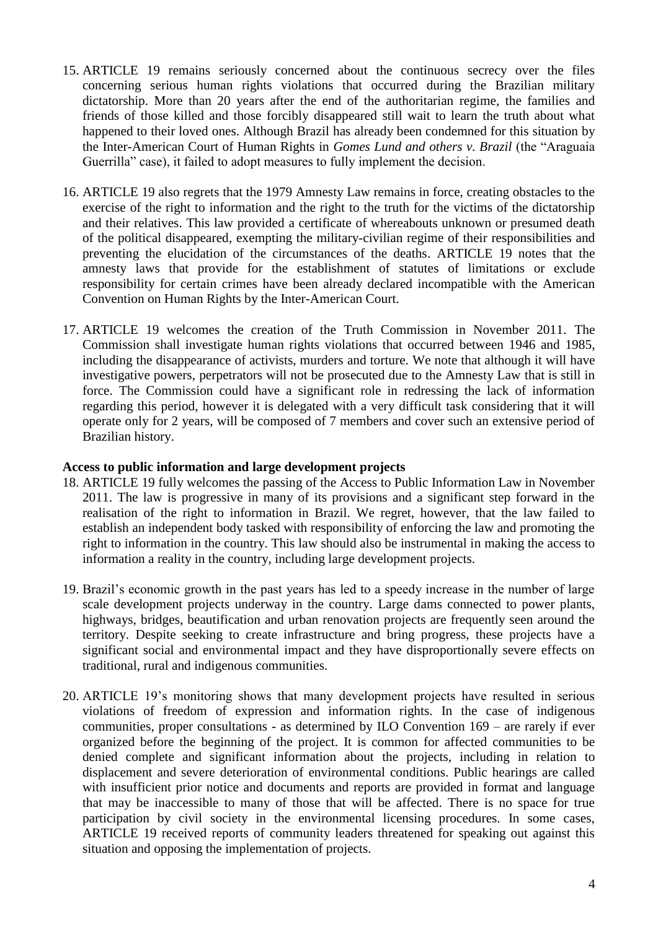- 15. ARTICLE 19 remains seriously concerned about the continuous secrecy over the files concerning serious human rights violations that occurred during the Brazilian military dictatorship. More than 20 years after the end of the authoritarian regime, the families and friends of those killed and those forcibly disappeared still wait to learn the truth about what happened to their loved ones. Although Brazil has already been condemned for this situation by the Inter-American Court of Human Rights in *Gomes Lund and others v. Brazil* (the "Araguaia Guerrilla" case), it failed to adopt measures to fully implement the decision.
- 16. ARTICLE 19 also regrets that the 1979 Amnesty Law remains in force, creating obstacles to the exercise of the right to information and the right to the truth for the victims of the dictatorship and their relatives. This law provided a certificate of whereabouts unknown or presumed death of the political disappeared, exempting the military-civilian regime of their responsibilities and preventing the elucidation of the circumstances of the deaths. ARTICLE 19 notes that the amnesty laws that provide for the establishment of statutes of limitations or exclude responsibility for certain crimes have been already declared incompatible with the American Convention on Human Rights by the Inter-American Court.
- 17. ARTICLE 19 welcomes the creation of the Truth Commission in November 2011. The Commission shall investigate human rights violations that occurred between 1946 and 1985, including the disappearance of activists, murders and torture. We note that although it will have investigative powers, perpetrators will not be prosecuted due to the Amnesty Law that is still in force. The Commission could have a significant role in redressing the lack of information regarding this period, however it is delegated with a very difficult task considering that it will operate only for 2 years, will be composed of 7 members and cover such an extensive period of Brazilian history.

### **Access to public information and large development projects**

- 18. ARTICLE 19 fully welcomes the passing of the Access to Public Information Law in November 2011. The law is progressive in many of its provisions and a significant step forward in the realisation of the right to information in Brazil. We regret, however, that the law failed to establish an independent body tasked with responsibility of enforcing the law and promoting the right to information in the country. This law should also be instrumental in making the access to information a reality in the country, including large development projects.
- 19. Brazil's economic growth in the past years has led to a speedy increase in the number of large scale development projects underway in the country. Large dams connected to power plants, highways, bridges, beautification and urban renovation projects are frequently seen around the territory. Despite seeking to create infrastructure and bring progress, these projects have a significant social and environmental impact and they have disproportionally severe effects on traditional, rural and indigenous communities.
- 20. ARTICLE 19's monitoring shows that many development projects have resulted in serious violations of freedom of expression and information rights. In the case of indigenous communities, proper consultations - as determined by ILO Convention 169 – are rarely if ever organized before the beginning of the project. It is common for affected communities to be denied complete and significant information about the projects, including in relation to displacement and severe deterioration of environmental conditions. Public hearings are called with insufficient prior notice and documents and reports are provided in format and language that may be inaccessible to many of those that will be affected. There is no space for true participation by civil society in the environmental licensing procedures. In some cases, ARTICLE 19 received reports of community leaders threatened for speaking out against this situation and opposing the implementation of projects.